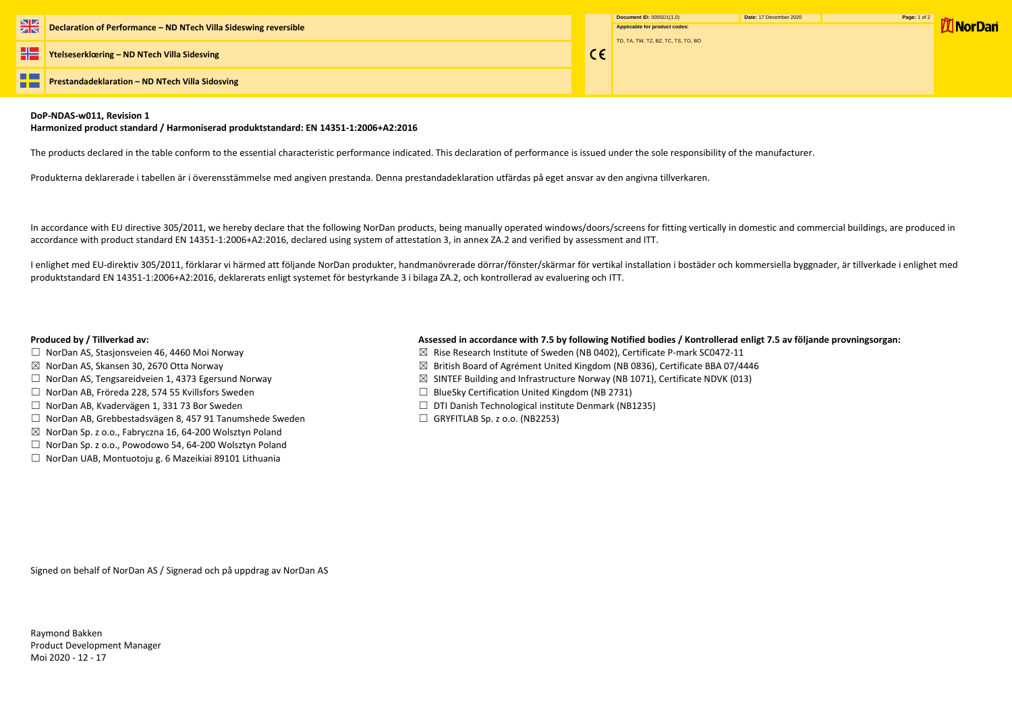**Ytelseserklœring – ND NTech Villa Sidesving**

n a **Prestandadeklaration – ND NTech Villa Sidosving** --

## **DoP-NDAS-w011, Revision 1**

### **Harmonized product standard / Harmoniserad produktstandard: EN 14351-1:2006+A2:2016**

The products declared in the table conform to the essential characteristic performance indicated. This declaration of performance is issued under the sole responsibility of the manufacturer.

Produkterna deklarerade i tabellen är i överensstämmelse med angiven prestanda. Denna prestandadeklaration utfärdas på eget ansvar av den angivna tillverkaren.

In accordance with EU directive 305/2011, we hereby declare that the following NorDan products, being manually operated windows/doors/screens for fitting vertically in domestic and commercial buildings, are produced in accordance with product standard EN 14351-1:2006+A2:2016, declared using system of attestation 3, in annex ZA.2 and verified by assessment and ITT.

- □ NorDan AS, Stasjonsveien 46, 4460 Moi Norway  $□$  Norman Manuson  $□$  Rise Research Institute of Sweden (NB 0402), Certificate P-mark SC0472-11
- $\boxtimes$  NorDan AS, Skansen 30, 2670 Otta Norway  $\boxtimes$  British Board of Agrément United Kingdom (NB 0836), Certificate BBA 07/4446
- ☐ NorDan AS, Tengsareidveien 1, 4373 Egersund Norway ☒ SINTEF Building and Infrastructure Norway (NB 1071), Certificate NDVK (013)
	-
- ☐ NorDan AB, Kvadervägen 1, 331 73 Bor Sweden ☐ DTI Danish Technological institute Denmark (NB1235)
	-

I enlighet med EU-direktiv 305/2011, förklarar vi härmed att följande NorDan produkter, handmanövrerade dörrar/fönster/skärmar för vertikal installation i bostäder och kommersiella byggnader, är tillverkade i enlighet med produktstandard EN 14351-1:2006+A2:2016, deklarerats enligt systemet för bestyrkande 3 i bilaga ZA.2, och kontrollerad av evaluering och ITT.

# **Produced by / Tillverkad av: Assessed in accordance with 7.5 by following Notified bodies / Kontrollerad enligt 7.5 av följande provningsorgan:**

 $C \in$ 

- 
- 
- 
- ☐ NorDan AB, Fröreda 228, 574 55 Kvillsfors Sweden ☐ BlueSky Certification United Kingdom (NB 2731)
- 
- ☐ NorDan AB, Grebbestadsvägen 8, 457 91 Tanumshede Sweden ☐ GRYFITLAB Sp. z o.o. (NB2253)
- $\boxtimes$  NorDan Sp. z o.o., Fabryczna 16, 64-200 Wolsztyn Poland
- ☐ NorDan Sp. z o.o., Powodowo 54, 64-200 Wolsztyn Poland
- ☐ NorDan UAB, Montuotoju g. 6 Mazeikiai 89101 Lithuania

Signed on behalf of NorDan AS / Signerad och på uppdrag av NorDan AS

Raymond Bakken Product Development Manager Moi 2020 - 12 - 17